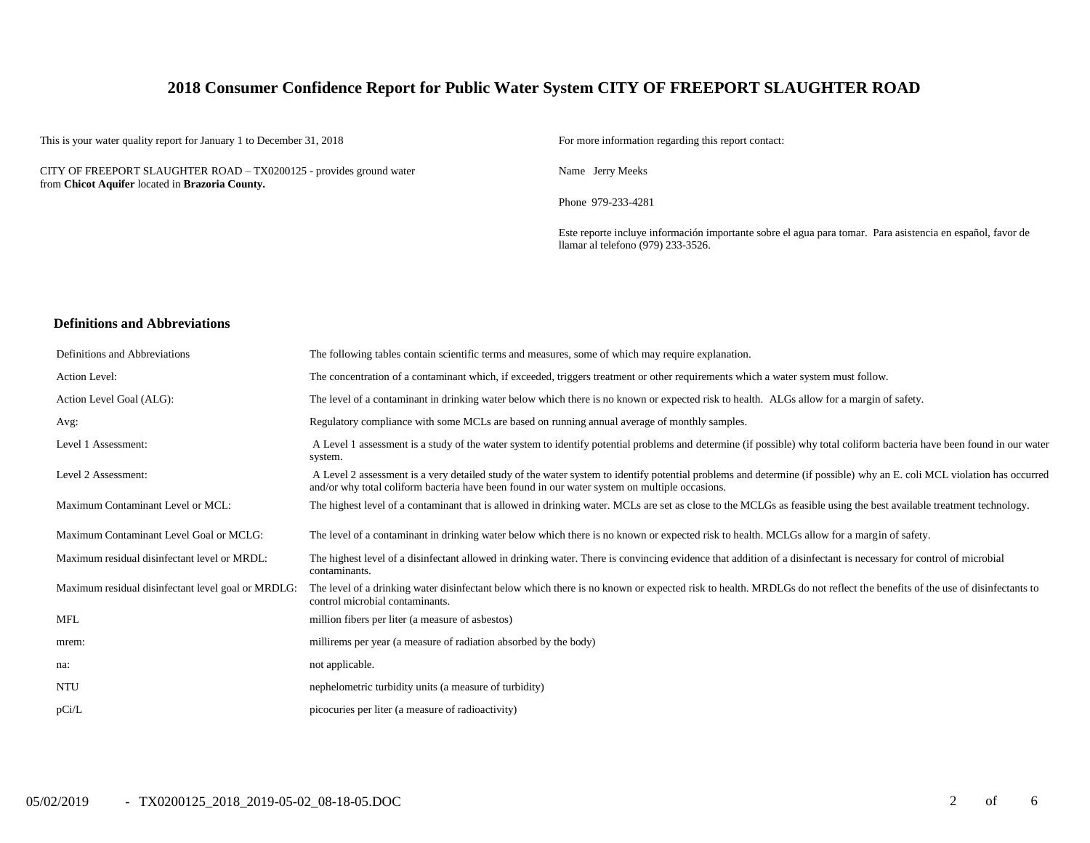## **2018 Consumer Confidence Report for Public Water System CITY OF FREEPORT SLAUGHTER ROAD**

This is your water quality report for January 1 to December 31, 2018 For more information regarding this report contact:

CITY OF FREEPORT SLAUGHTER ROAD – TX0200125 - provides ground water from **Chicot Aquifer** located in **Brazoria County.**

Name Jerry Meeks

Phone 979-233-4281

Este reporte incluye información importante sobre el agua para tomar. Para asistencia en español, favor de llamar al telefono (979) 233-3526.

#### **Definitions and Abbreviations**

| Definitions and Abbreviations                      | The following tables contain scientific terms and measures, some of which may require explanation.                                                                                                                                                                      |
|----------------------------------------------------|-------------------------------------------------------------------------------------------------------------------------------------------------------------------------------------------------------------------------------------------------------------------------|
| Action Level:                                      | The concentration of a contaminant which, if exceeded, triggers treatment or other requirements which a water system must follow.                                                                                                                                       |
| Action Level Goal (ALG):                           | The level of a contaminant in drinking water below which there is no known or expected risk to health. ALGs allow for a margin of safety.                                                                                                                               |
| Avg:                                               | Regulatory compliance with some MCLs are based on running annual average of monthly samples.                                                                                                                                                                            |
| Level 1 Assessment:                                | A Level 1 assessment is a study of the water system to identify potential problems and determine (if possible) why total coliform bacteria have been found in our water<br>system.                                                                                      |
| Level 2 Assessment:                                | A Level 2 assessment is a very detailed study of the water system to identify potential problems and determine (if possible) why an E. coli MCL violation has occurred<br>and/or why total coliform bacteria have been found in our water system on multiple occasions. |
| Maximum Contaminant Level or MCL:                  | The highest level of a contaminant that is allowed in drinking water. MCLs are set as close to the MCLGs as feasible using the best available treatment technology.                                                                                                     |
| Maximum Contaminant Level Goal or MCLG:            | The level of a contaminant in drinking water below which there is no known or expected risk to health. MCLGs allow for a margin of safety.                                                                                                                              |
| Maximum residual disinfectant level or MRDL:       | The highest level of a disinfectant allowed in drinking water. There is convincing evidence that addition of a disinfectant is necessary for control of microbial<br>contaminants.                                                                                      |
| Maximum residual disinfectant level goal or MRDLG: | The level of a drinking water disinfectant below which there is no known or expected risk to health. MRDLGs do not reflect the benefits of the use of disinfectants to<br>control microbial contaminants.                                                               |
| <b>MFL</b>                                         | million fibers per liter (a measure of asbestos)                                                                                                                                                                                                                        |
| mrem:                                              | millirems per year (a measure of radiation absorbed by the body)                                                                                                                                                                                                        |
| na:                                                | not applicable.                                                                                                                                                                                                                                                         |
| <b>NTU</b>                                         | nephelometric turbidity units (a measure of turbidity)                                                                                                                                                                                                                  |
| pCi/L                                              | picocuries per liter (a measure of radioactivity)                                                                                                                                                                                                                       |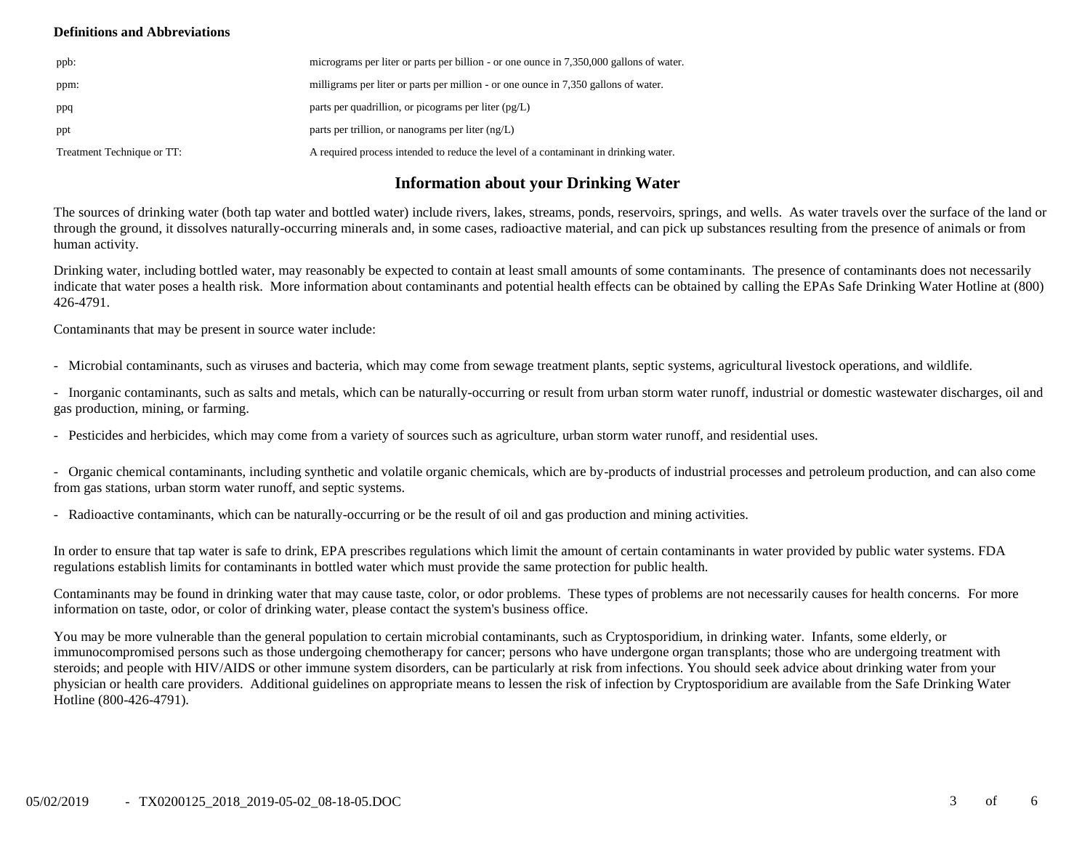#### **Definitions and Abbreviations**

| ppb:                       | micrograms per liter or parts per billion - or one ounce in 7,350,000 gallons of water. |
|----------------------------|-----------------------------------------------------------------------------------------|
| ppm:                       | milligrams per liter or parts per million - or one ounce in 7,350 gallons of water.     |
| ppq                        | parts per quadrillion, or picograms per liter $(pg/L)$                                  |
| ppt                        | parts per trillion, or nanograms per liter $(ng/L)$                                     |
| Treatment Technique or TT: | A required process intended to reduce the level of a contaminant in drinking water.     |

# **Information about your Drinking Water**

The sources of drinking water (both tap water and bottled water) include rivers, lakes, streams, ponds, reservoirs, springs, and wells. As water travels over the surface of the land or through the ground, it dissolves naturally-occurring minerals and, in some cases, radioactive material, and can pick up substances resulting from the presence of animals or from human activity.

Drinking water, including bottled water, may reasonably be expected to contain at least small amounts of some contaminants. The presence of contaminants does not necessarily indicate that water poses a health risk. More information about contaminants and potential health effects can be obtained by calling the EPAs Safe Drinking Water Hotline at (800) 426-4791.

Contaminants that may be present in source water include:

- Microbial contaminants, such as viruses and bacteria, which may come from sewage treatment plants, septic systems, agricultural livestock operations, and wildlife.

- Inorganic contaminants, such as salts and metals, which can be naturally-occurring or result from urban storm water runoff, industrial or domestic wastewater discharges, oil and gas production, mining, or farming.

- Pesticides and herbicides, which may come from a variety of sources such as agriculture, urban storm water runoff, and residential uses.

- Organic chemical contaminants, including synthetic and volatile organic chemicals, which are by-products of industrial processes and petroleum production, and can also come from gas stations, urban storm water runoff, and septic systems.

- Radioactive contaminants, which can be naturally-occurring or be the result of oil and gas production and mining activities.

In order to ensure that tap water is safe to drink, EPA prescribes regulations which limit the amount of certain contaminants in water provided by public water systems. FDA regulations establish limits for contaminants in bottled water which must provide the same protection for public health.

Contaminants may be found in drinking water that may cause taste, color, or odor problems. These types of problems are not necessarily causes for health concerns. For more information on taste, odor, or color of drinking water, please contact the system's business office.

You may be more vulnerable than the general population to certain microbial contaminants, such as Cryptosporidium, in drinking water. Infants, some elderly, or immunocompromised persons such as those undergoing chemotherapy for cancer; persons who have undergone organ transplants; those who are undergoing treatment with steroids; and people with HIV/AIDS or other immune system disorders, can be particularly at risk from infections. You should seek advice about drinking water from your physician or health care providers. Additional guidelines on appropriate means to lessen the risk of infection by Cryptosporidium are available from the Safe Drinking Water Hotline (800-426-4791).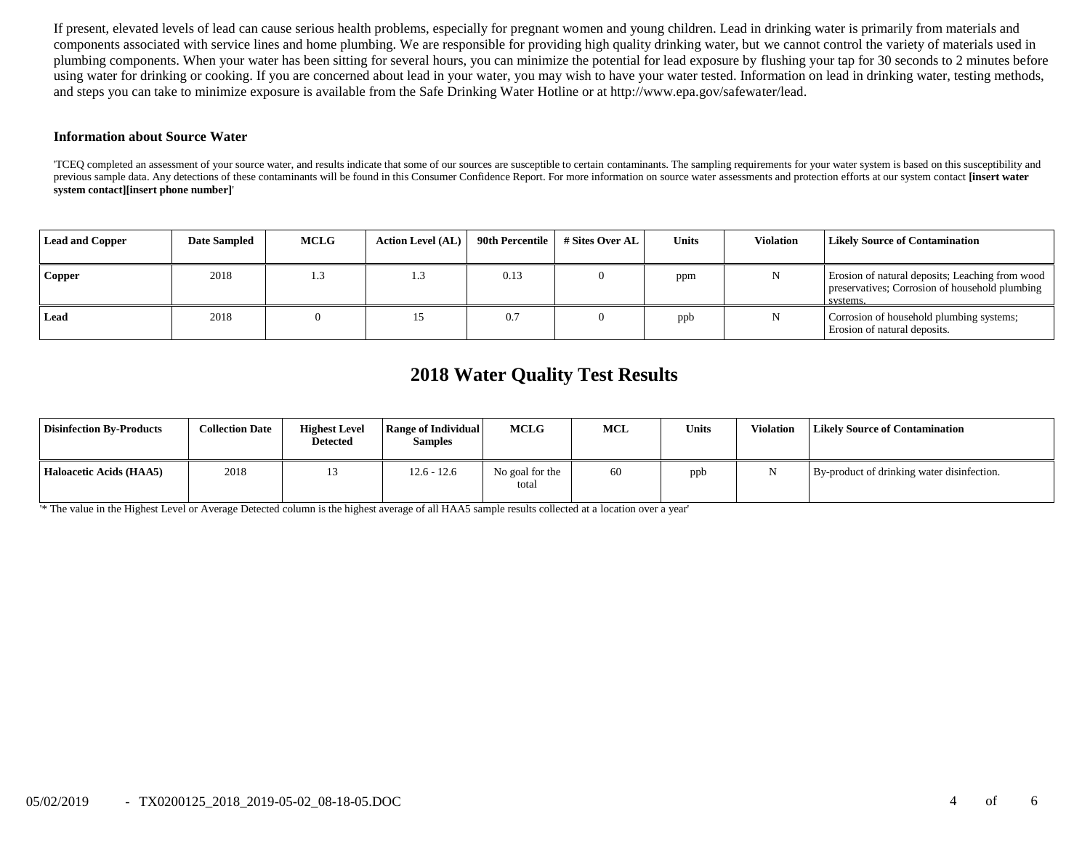If present, elevated levels of lead can cause serious health problems, especially for pregnant women and young children. Lead in drinking water is primarily from materials and components associated with service lines and home plumbing. We are responsible for providing high quality drinking water, but we cannot control the variety of materials used in plumbing components. When your water has been sitting for several hours, you can minimize the potential for lead exposure by flushing your tap for 30 seconds to 2 minutes before using water for drinking or cooking. If you are concerned about lead in your water, you may wish to have your water tested. Information on lead in drinking water, testing methods, and steps you can take to minimize exposure is available from the Safe Drinking Water Hotline or at http://www.epa.gov/safewater/lead.

#### **Information about Source Water**

'TCEQ completed an assessment of your source water, and results indicate that some of our sources are susceptible to certain contaminants. The sampling requirements for your water system is based on this susceptibility and previous sample data. Any detections of these contaminants will be found in this Consumer Confidence Report. For more information on source water assessments and protection efforts at our system contact **[insert water system contact][insert phone number]**'

| <b>Lead and Copper</b> | <b>Date Sampled</b> | <b>MCLG</b> | <b>Action Level (AL)</b> | 90th Percentile | # Sites Over AL | Units | <b>Violation</b> | <b>Likely Source of Contamination</b>                                                                         |
|------------------------|---------------------|-------------|--------------------------|-----------------|-----------------|-------|------------------|---------------------------------------------------------------------------------------------------------------|
| <b>Copper</b>          | 2018                | 1.3         |                          | 0.13            |                 | ppm   |                  | Erosion of natural deposits; Leaching from wood<br>preservatives; Corrosion of household plumbing<br>systems. |
| Lead                   | 2018                |             |                          | 0.7             |                 | ppb   |                  | Corrosion of household plumbing systems;<br>Erosion of natural deposits.                                      |

# **2018 Water Quality Test Results**

| <b>Disinfection By-Products</b> | <b>Collection Date</b> | <b>Highest Level</b><br><b>Detected</b> | Range of Individual<br><b>Samples</b> | MCLG                     | MCL | <b>Units</b> | Violation | <b>Likely Source of Contamination</b>      |
|---------------------------------|------------------------|-----------------------------------------|---------------------------------------|--------------------------|-----|--------------|-----------|--------------------------------------------|
| Haloacetic Acids (HAA5)         | 2018                   | 15                                      | 12.6 - 12.6                           | No goal for the<br>total | 60  | ppb          |           | By-product of drinking water disinfection. |

'\* The value in the Highest Level or Average Detected column is the highest average of all HAA5 sample results collected at a location over a year'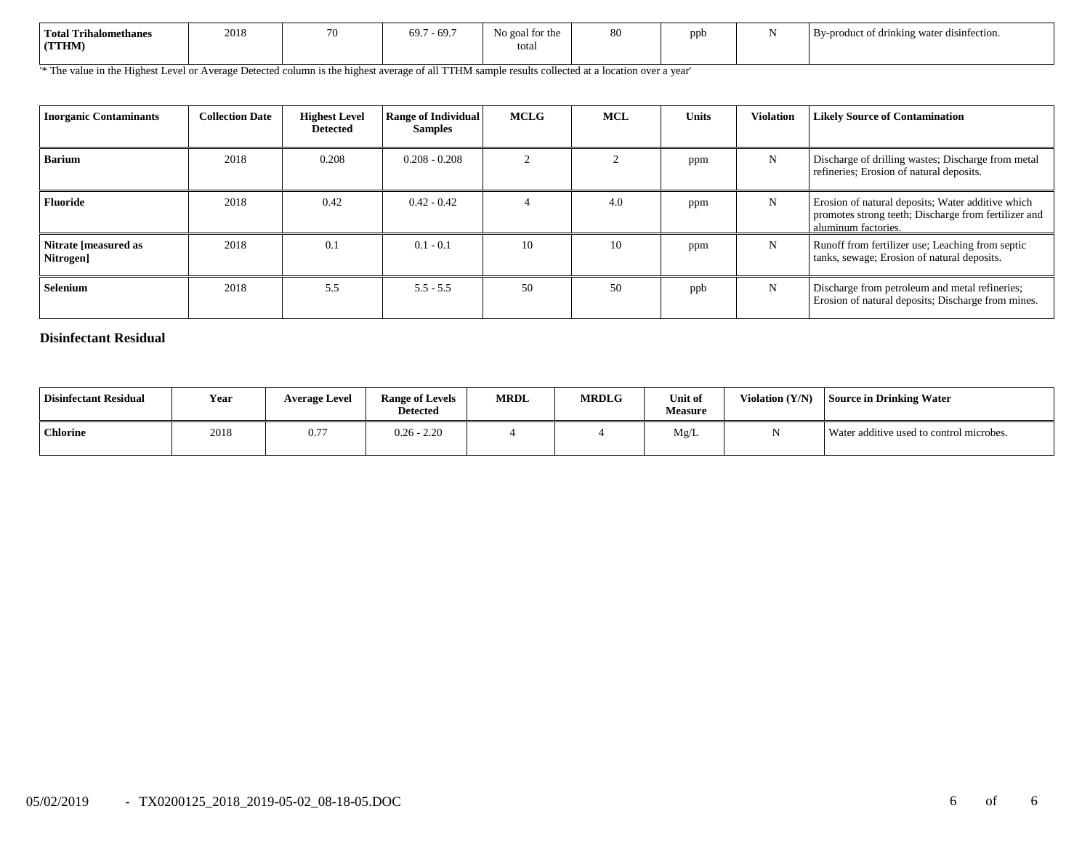| Total Trihalomethanes<br>(TTHM) | 2018 | 70 | $-69.7$<br>69.7 | No goal for the<br>total | 80 | ppb<br>. . | $\cdots$<br>By-product of drinking water disinfection. |
|---------------------------------|------|----|-----------------|--------------------------|----|------------|--------------------------------------------------------|
|                                 |      |    |                 |                          |    |            |                                                        |

'\* The value in the Highest Level or Average Detected column is the highest average of all TTHM sample results collected at a location over a year'

| <b>Inorganic Contaminants</b>     | <b>Collection Date</b> | <b>Highest Level</b><br><b>Detected</b> | <b>Range of Individual</b><br><b>Samples</b> | <b>MCLG</b> | <b>MCL</b> | <b>Units</b> | <b>Violation</b> | <b>Likely Source of Contamination</b>                                                                                            |
|-----------------------------------|------------------------|-----------------------------------------|----------------------------------------------|-------------|------------|--------------|------------------|----------------------------------------------------------------------------------------------------------------------------------|
| <b>Barium</b>                     | 2018                   | 0.208                                   | $0.208 - 0.208$                              |             |            | ppm          | N                | Discharge of drilling wastes; Discharge from metal<br>refineries; Erosion of natural deposits.                                   |
| Fluoride                          | 2018                   | 0.42                                    | $0.42 - 0.42$                                |             | 4.0        | ppm          | N                | Erosion of natural deposits; Water additive which<br>promotes strong teeth; Discharge from fertilizer and<br>aluminum factories. |
| Nitrate [measured as<br>Nitrogen] | 2018                   | 0.1                                     | $0.1 - 0.1$                                  | 10          | 10         | ppm          | N                | Runoff from fertilizer use; Leaching from septic<br>tanks, sewage; Erosion of natural deposits.                                  |
| Selenium                          | 2018                   | 5.5                                     | $5.5 - 5.5$                                  | 50          | 50         | ppb          | N                | Discharge from petroleum and metal refineries;<br>Erosion of natural deposits; Discharge from mines.                             |

### **Disinfectant Residual**

| <b>Disinfectant Residual</b> | Year | <b>Average Level</b> | <b>Range of Levels</b><br><b>Detected</b> | <b>MRDL</b> | <b>MRDLG</b> | Unit of<br><b>Measure</b> | Violation (Y/N) | <b>Source in Drinking Water</b>          |
|------------------------------|------|----------------------|-------------------------------------------|-------------|--------------|---------------------------|-----------------|------------------------------------------|
| <b>Chlorine</b>              | 2018 | $0.7^{-}$            | $0.26 - 2.20$                             |             |              | Mg/L                      |                 | Water additive used to control microbes. |